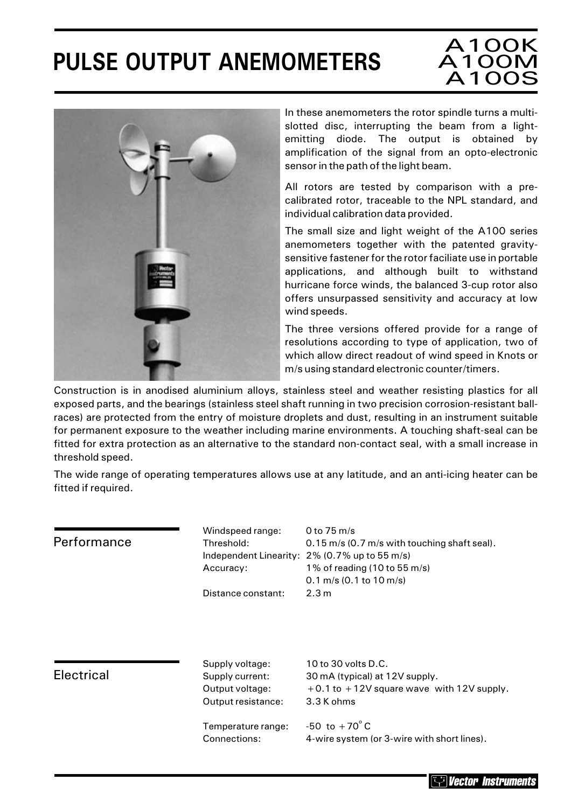# **PULSE OUTPUT ANEMOMETERS**

### A100K A100M A100S



In these anemometers the rotor spindle turns a multislotted disc, interrupting the beam from a lightemitting diode. The output is obtained by amplification of the signal from an opto-electronic sensor in the path of the light beam.

All rotors are tested by comparison with a precalibrated rotor, traceable to the NPL standard, and individual calibration data provided.

The small size and light weight of the A100 series anemometers together with the patented gravitysensitive fastener for the rotor faciliate use in portable applications, and although built to withstand hurricane force winds, the balanced 3-cup rotor also offers unsurpassed sensitivity and accuracy at low wind speeds.

The three versions offered provide for a range of resolutions according to type of application, two of which allow direct readout of wind speed in Knots or m/s using standard electronic counter/timers.

Construction is in anodised aluminium alloys, stainless steel and weather resisting plastics for all exposed parts, and the bearings (stainless steel shaft running in two precision corrosion-resistant ballraces) are protected from the entry of moisture droplets and dust, resulting in an instrument suitable for permanent exposure to the weather including marine environments. A touching shaft-seal can be fitted for extra protection as an alternative to the standard non-contact seal, with a small increase in threshold speed.

The wide range of operating temperatures allows use at any latitude, and an anti-icing heater can be fitted if required.

| Performance       | Windspeed range:<br>Threshold:<br>Accuracy:                                 | 0 to 75 m/s<br>0.15 m/s (0.7 m/s with touching shaft seal).<br>Independent Linearity: 2% (0.7% up to 55 m/s)<br>1% of reading (10 to 55 m/s)<br>$0.1$ m/s (0.1 to $10$ m/s) |  |
|-------------------|-----------------------------------------------------------------------------|-----------------------------------------------------------------------------------------------------------------------------------------------------------------------------|--|
|                   | Distance constant:                                                          | 2.3 m                                                                                                                                                                       |  |
| <b>Electrical</b> | Supply voltage:<br>Supply current:<br>Output voltage:<br>Output resistance: | 10 to 30 volts D.C.<br>30 mA (typical) at 12V supply.<br>$+0.1$ to $+12V$ square wave with 12V supply.<br>3.3 K ohms                                                        |  |
|                   | Temperature range:<br>Connections:                                          | -50 to $+70^{\circ}$ C<br>4-wire system (or 3-wire with short lines).                                                                                                       |  |